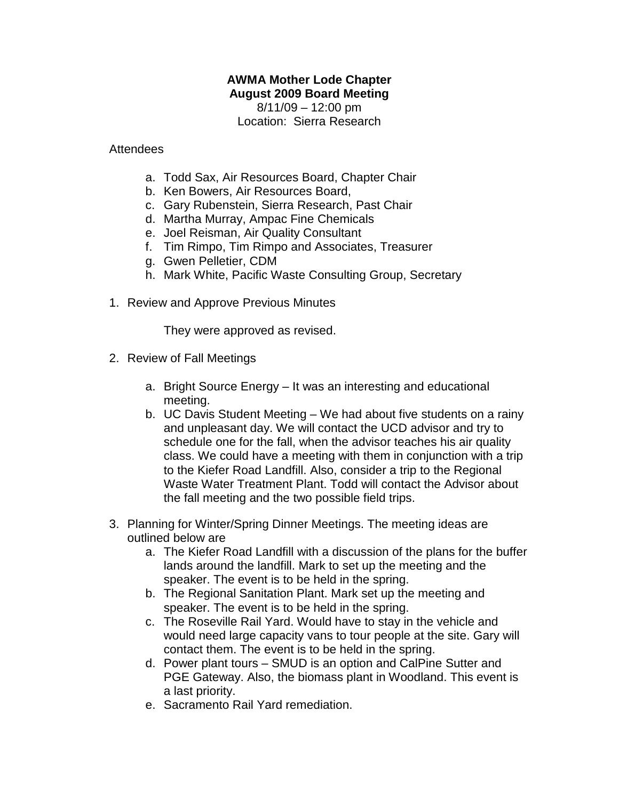## **AWMA Mother Lode Chapter August 2009 Board Meeting**

 $8/11/09 - 12:00$  pm Location: Sierra Research

Attendees

- a. Todd Sax, Air Resources Board, Chapter Chair
- b. Ken Bowers, Air Resources Board,
- c. Gary Rubenstein, Sierra Research, Past Chair
- d. Martha Murray, Ampac Fine Chemicals
- e. Joel Reisman, Air Quality Consultant
- f. Tim Rimpo, Tim Rimpo and Associates, Treasurer
- g. Gwen Pelletier, CDM
- h. Mark White, Pacific Waste Consulting Group, Secretary
- 1. Review and Approve Previous Minutes

They were approved as revised.

- 2. Review of Fall Meetings
	- a. Bright Source Energy It was an interesting and educational meeting.
	- b. UC Davis Student Meeting We had about five students on a rainy and unpleasant day. We will contact the UCD advisor and try to schedule one for the fall, when the advisor teaches his air quality class. We could have a meeting with them in conjunction with a trip to the Kiefer Road Landfill. Also, consider a trip to the Regional Waste Water Treatment Plant. Todd will contact the Advisor about the fall meeting and the two possible field trips.
- 3. Planning for Winter/Spring Dinner Meetings. The meeting ideas are outlined below are
	- a. The Kiefer Road Landfill with a discussion of the plans for the buffer lands around the landfill. Mark to set up the meeting and the speaker. The event is to be held in the spring.
	- b. The Regional Sanitation Plant. Mark set up the meeting and speaker. The event is to be held in the spring.
	- c. The Roseville Rail Yard. Would have to stay in the vehicle and would need large capacity vans to tour people at the site. Gary will contact them. The event is to be held in the spring.
	- d. Power plant tours SMUD is an option and CalPine Sutter and PGE Gateway. Also, the biomass plant in Woodland. This event is a last priority.
	- e. Sacramento Rail Yard remediation.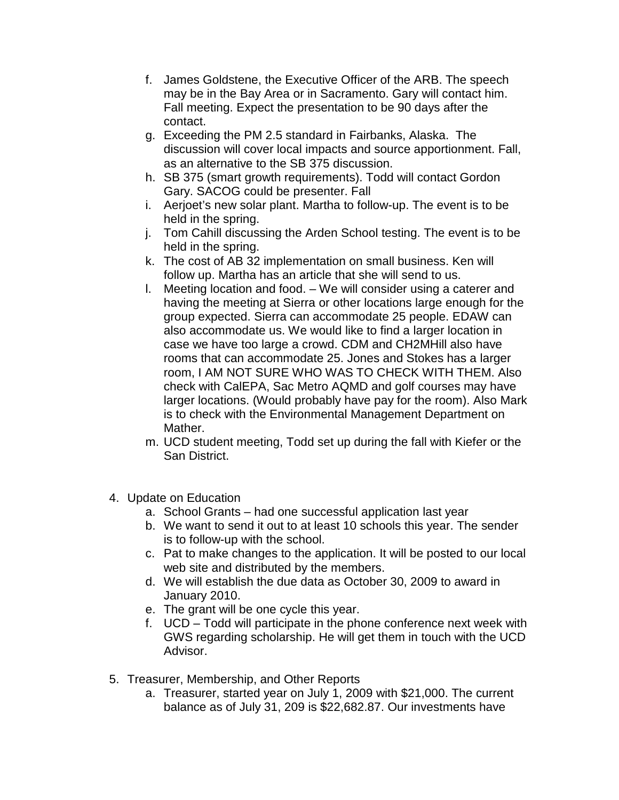- f. James Goldstene, the Executive Officer of the ARB. The speech may be in the Bay Area or in Sacramento. Gary will contact him. Fall meeting. Expect the presentation to be 90 days after the contact.
- g. Exceeding the PM 2.5 standard in Fairbanks, Alaska. The discussion will cover local impacts and source apportionment. Fall, as an alternative to the SB 375 discussion.
- h. SB 375 (smart growth requirements). Todd will contact Gordon Gary. SACOG could be presenter. Fall
- i. Aerjoet's new solar plant. Martha to follow-up. The event is to be held in the spring.
- j. Tom Cahill discussing the Arden School testing. The event is to be held in the spring.
- k. The cost of AB 32 implementation on small business. Ken will follow up. Martha has an article that she will send to us.
- l. Meeting location and food. We will consider using a caterer and having the meeting at Sierra or other locations large enough for the group expected. Sierra can accommodate 25 people. EDAW can also accommodate us. We would like to find a larger location in case we have too large a crowd. CDM and CH2MHill also have rooms that can accommodate 25. Jones and Stokes has a larger room, I AM NOT SURE WHO WAS TO CHECK WITH THEM. Also check with CalEPA, Sac Metro AQMD and golf courses may have larger locations. (Would probably have pay for the room). Also Mark is to check with the Environmental Management Department on Mather.
- m. UCD student meeting, Todd set up during the fall with Kiefer or the San District.
- 4. Update on Education
	- a. School Grants had one successful application last year
	- b. We want to send it out to at least 10 schools this year. The sender is to follow-up with the school.
	- c. Pat to make changes to the application. It will be posted to our local web site and distributed by the members.
	- d. We will establish the due data as October 30, 2009 to award in January 2010.
	- e. The grant will be one cycle this year.
	- f. UCD Todd will participate in the phone conference next week with GWS regarding scholarship. He will get them in touch with the UCD Advisor.
- 5. Treasurer, Membership, and Other Reports
	- a. Treasurer, started year on July 1, 2009 with \$21,000. The current balance as of July 31, 209 is \$22,682.87. Our investments have